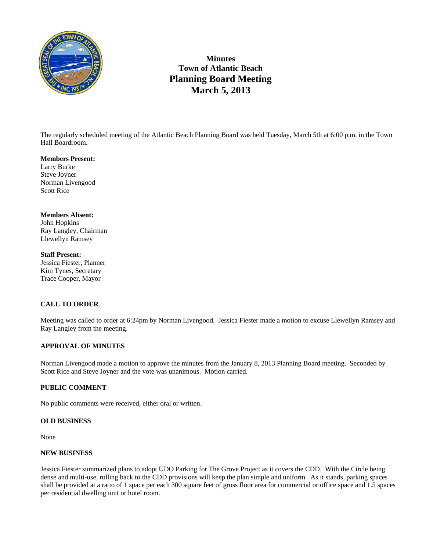

# **Minutes Town of Atlantic Beach Planning Board Meeting March 5, 2013**

The regularly scheduled meeting of the Atlantic Beach Planning Board was held Tuesday, March 5th at 6:00 p.m. in the Town Hall Boardroom.

#### **Members Present:**

Larry Burke Steve Joyner Norman Livengood Scott Rice

#### **Members Absent:**

John Hopkins Ray Langley, Chairman Llewellyn Ramsey

**Staff Present:**  Jessica Fiester, Planner Kim Tynes, Secretary Trace Cooper, Mayor

# **CALL TO ORDER**.

Meeting was called to order at 6:24pm by Norman Livengood. Jessica Fiester made a motion to excuse Llewellyn Ramsey and Ray Langley from the meeting.

## **APPROVAL OF MINUTES**

Norman Livengood made a motion to approve the minutes from the January 8, 2013 Planning Board meeting. Seconded by Scott Rice and Steve Joyner and the vote was unanimous. Motion carried.

## **PUBLIC COMMENT**

No public comments were received, either oral or written.

# **OLD BUSINESS**

None

## **NEW BUSINESS**

Jessica Fiester summarized plans to adopt UDO Parking for The Grove Project as it covers the CDD. With the Circle being dense and multi-use, rolling back to the CDD provisions will keep the plan simple and uniform. As it stands, parking spaces shall be provided at a ratio of 1 space per each 300 square feet of gross floor area for commercial or office space and 1.5 spaces per residential dwelling unit or hotel room.